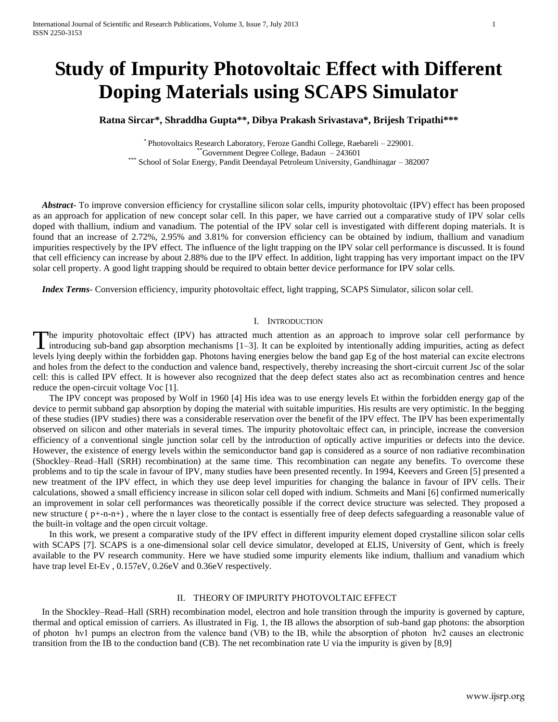# **Study of Impurity Photovoltaic Effect with Different Doping Materials using SCAPS Simulator**

**Ratna Sircar\*, Shraddha Gupta\*\*, Dibya Prakash Srivastava\*, Brijesh Tripathi\*\*\***

\* Photovoltaics Research Laboratory, Feroze Gandhi College, Raebareli – 229001.  $^{\circ}$ Government Degree College, Badaun – 243601 \*\*\* School of Solar Energy, Pandit Deendayal Petroleum University, Gandhinagar – 382007

 *Abstract***-** To improve conversion efficiency for crystalline silicon solar cells, impurity photovoltaic (IPV) effect has been proposed as an approach for application of new concept solar cell. In this paper, we have carried out a comparative study of IPV solar cells doped with thallium, indium and vanadium. The potential of the IPV solar cell is investigated with different doping materials. It is found that an increase of 2.72%, 2.95% and 3.81% for conversion efficiency can be obtained by indium, thallium and vanadium impurities respectively by the IPV effect. The influence of the light trapping on the IPV solar cell performance is discussed. It is found that cell efficiency can increase by about 2.88% due to the IPV effect. In addition, light trapping has very important impact on the IPV solar cell property. A good light trapping should be required to obtain better device performance for IPV solar cells.

 *Index Terms*- Conversion efficiency, impurity photovoltaic effect, light trapping, SCAPS Simulator, silicon solar cell.

#### I. INTRODUCTION

The impurity photovoltaic effect (IPV) has attracted much attention as an approach to improve solar cell performance by The impurity photovoltaic effect (IPV) has attracted much attention as an approach to improve solar cell performance by introducing sub-band gap absorption mechanisms [1–3]. It can be exploited by intentionally adding impu levels lying deeply within the forbidden gap. Photons having energies below the band gap Eg of the host material can excite electrons and holes from the defect to the conduction and valence band, respectively, thereby increasing the short-circuit current Jsc of the solar cell: this is called IPV effect. It is however also recognized that the deep defect states also act as recombination centres and hence reduce the open-circuit voltage Voc [1].

The IPV concept was proposed by Wolf in 1960 [4] His idea was to use energy levels Et within the forbidden energy gap of the device to permit subband gap absorption by doping the material with suitable impurities. His results are very optimistic. In the begging of these studies (IPV studies) there was a considerable reservation over the benefit of the IPV effect. The IPV has been experimentally observed on silicon and other materials in several times. The impurity photovoltaic effect can, in principle, increase the conversion efficiency of a conventional single junction solar cell by the introduction of optically active impurities or defects into the device. However, the existence of energy levels within the semiconductor band gap is considered as a source of non radiative recombination (Shockley–Read–Hall (SRH) recombination) at the same time. This recombination can negate any benefits. To overcome these problems and to tip the scale in favour of IPV, many studies have been presented recently. In 1994, Keevers and Green [5] presented a new treatment of the IPV effect, in which they use deep level impurities for changing the balance in favour of IPV cells. Their calculations, showed a small efficiency increase in silicon solar cell doped with indium. Schmeits and Mani [6] confirmed numerically an improvement in solar cell performances was theoretically possible if the correct device structure was selected. They proposed a new structure ( p+-n-n+) , where the n layer close to the contact is essentially free of deep defects safeguarding a reasonable value of the built-in voltage and the open circuit voltage.

In this work, we present a comparative study of the IPV effect in different impurity element doped crystalline silicon solar cells with SCAPS [7]. SCAPS is a one-dimensional solar cell device simulator, developed at ELIS, University of Gent, which is freely available to the PV research community. Here we have studied some impurity elements like indium, thallium and vanadium which have trap level Et-Ev , 0.157eV, 0.26eV and 0.36eV respectively.

# II. THEORY OF IMPURITY PHOTOVOLTAIC EFFECT

 In the Shockley–Read–Hall (SRH) recombination model, electron and hole transition through the impurity is governed by capture, thermal and optical emission of carriers. As illustrated in Fig. 1, the IB allows the absorption of sub-band gap photons: the absorption of photon hν1 pumps an electron from the valence band (VB) to the IB, while the absorption of photon hν2 causes an electronic transition from the IB to the conduction band (CB). The net recombination rate U via the impurity is given by [8,9]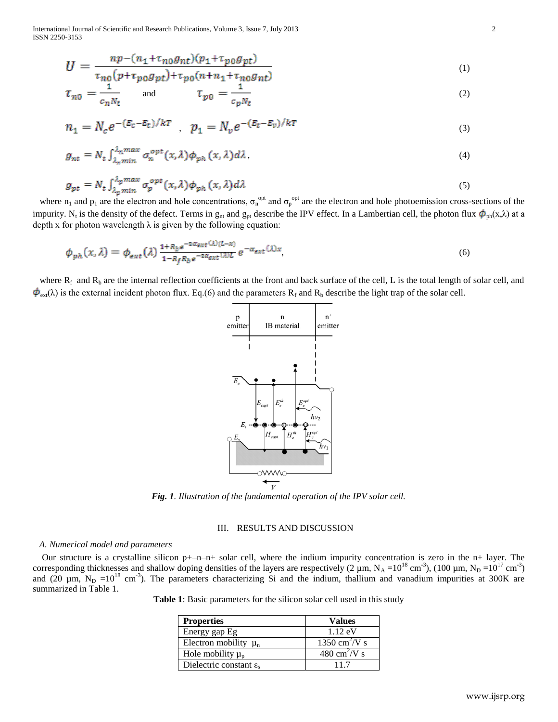International Journal of Scientific and Research Publications, Volume 3, Issue 7, July 2013 2 ISSN 2250-3153

$$
U = \frac{np - (n_1 + \tau_{n0}g_{nt})(p_1 + \tau_{p0}g_{pt})}{\tau_{n0}(p + \tau_{n0}g_{nt}) + \tau_{n0}(n + n_1 + \tau_{n0}g_{nt})}
$$
\n<sup>(1)</sup>

$$
\tau_{n0} = \frac{1}{c_n N_t} \quad \text{and} \quad \tau_{p0} = \frac{1}{c_p N_t} \tag{2}
$$

$$
n_1 = N_c e^{-(E_c - E_t)/kT} \t, \t p_1 = N_v e^{-(E_t - E_v)/kT} \t\t(3)
$$

$$
g_{nt} = N_t \int_{\lambda_n \min}^{\lambda_n \max} \sigma_n^{opt}(x, \lambda) \phi_{ph}(x, \lambda) d\lambda,
$$
\n<sup>(4)</sup>

$$
g_{pt} = N_t \int_{\lambda_p \min}^{\lambda_p \max} \sigma_p^{opt}(x, \lambda) \phi_{ph}(x, \lambda) d\lambda
$$
 (5)

where  $n_1$  and  $p_1$  are the electron and hole concentrations,  $\sigma_n^{opt}$  and  $\sigma_p^{opt}$  are the electron and hole photoemission cross-sections of the impurity. N<sub>t</sub> is the density of the defect. Terms in  $g_{nt}$  and  $g_{pt}$  describe the IPV effect. In a Lambertian cell, the photon flux  $\phi_{ph}(x,\lambda)$  at a depth x for photon wavelength  $\lambda$  is given by the following equation:

$$
\phi_{ph}(x,\lambda) = \phi_{ext}(\lambda) \frac{1 + R_b e^{-2\alpha_{ext}(\lambda)(L-x)}}{1 - R_f R_b e^{-2\alpha_{ext}(\lambda)L}} e^{-\alpha_{ext}(\lambda)x},\tag{6}
$$

where  $R_f$  and  $R_b$  are the internal reflection coefficients at the front and back surface of the cell, L is the total length of solar cell, and  $\phi_{ext}(\lambda)$  is the external incident photon flux. Eq.(6) and the parameters R<sub>f</sub> and R<sub>b</sub> describe the light trap of the solar cell.



*Fig. 1. Illustration of the fundamental operation of the IPV solar cell.*

### III. RESULTS AND DISCUSSION

# *A. Numerical model and parameters*

 Our structure is a crystalline silicon p+–n–n+ solar cell, where the indium impurity concentration is zero in the n+ layer. The corresponding thicknesses and shallow doping densities of the layers are respectively (2  $\mu$ m, N<sub>A</sub> =10<sup>18</sup> cm<sup>-3</sup>), (100  $\mu$ m, N<sub>D</sub> =10<sup>17</sup> cm<sup>-3</sup>) and (20  $\mu$ m, N<sub>D</sub> =10<sup>18</sup> cm<sup>-3</sup>). The parameters characterizing Si and the indium, thallium and vanadium impurities at 300K are summarized in Table 1.

**Table 1**: Basic parameters for the silicon solar cell used in this study

| <b>Properties</b>                              | Values                               |
|------------------------------------------------|--------------------------------------|
| Energy gap Eg                                  | $1.12 \text{ eV}$                    |
| Electron mobility $\mu_n$                      | 1350 cm <sup>2</sup> /V s            |
| Hole mobility $\mu_{p}$                        | $\frac{1}{480}$ cm <sup>2</sup> /V s |
| Dielectric constant $\varepsilon$ <sub>s</sub> | 117                                  |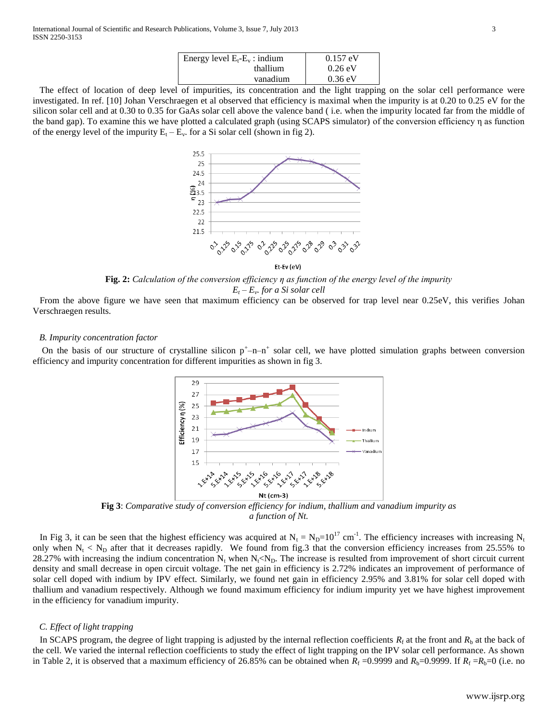| thallium                            | $0.26$ eV          |
|-------------------------------------|--------------------|
| vanadium                            | $0.36$ eV          |
| Energy level $E_t$ - $E_v$ : indium | $0.157 \text{ eV}$ |

 The effect of location of deep level of impurities, its concentration and the light trapping on the solar cell performance were investigated. In ref. [10] Johan Verschraegen et al observed that efficiency is maximal when the impurity is at 0.20 to 0.25 eV for the silicon solar cell and at 0.30 to 0.35 for GaAs solar cell above the valence band ( i.e. when the impurity located far from the middle of the band gap). To examine this we have plotted a calculated graph (using SCAPS simulator) of the conversion efficiency η as function of the energy level of the impurity  $E_t - E_v$ , for a Si solar cell (shown in fig 2).



Et-Ev (eV)

**Fig. 2:** *Calculation of the conversion efficiency η as function of the energy level of the impurity E<sup>t</sup> – E<sup>v</sup> . for a Si solar cell*

 From the above figure we have seen that maximum efficiency can be observed for trap level near 0.25eV, this verifies Johan Verschraegen results.

#### *B. Impurity concentration factor*

On the basis of our structure of crystalline silicon  $p^+$ -n-n<sup>+</sup> solar cell, we have plotted simulation graphs between conversion efficiency and impurity concentration for different impurities as shown in fig 3.



**Fig 3**: *Comparative study of conversion efficiency for indium, thallium and vanadium impurity as a function of Nt.*

In Fig 3, it can be seen that the highest efficiency was acquired at  $N_t = N_D = 10^{17}$  cm<sup>-1</sup>. The efficiency increases with increasing N<sub>t</sub> only when  $N_t$  <  $N_D$  after that it decreases rapidly. We found from fig.3 that the conversion efficiency increases from 25.55% to 28.27% with increasing the indium concentration  $N_t$  when  $N_t$ < $N_D$ . The increase is resulted from improvement of short circuit current density and small decrease in open circuit voltage. The net gain in efficiency is 2.72% indicates an improvement of performance of solar cell doped with indium by IPV effect. Similarly, we found net gain in efficiency 2.95% and 3.81% for solar cell doped with thallium and vanadium respectively. Although we found maximum efficiency for indium impurity yet we have highest improvement in the efficiency for vanadium impurity.

#### *C. Effect of light trapping*

In SCAPS program, the degree of light trapping is adjusted by the internal reflection coefficients  $R_f$  at the front and  $R_b$  at the back of the cell. We varied the internal reflection coefficients to study the effect of light trapping on the IPV solar cell performance. As shown in Table 2, it is observed that a maximum efficiency of 26.85% can be obtained when  $R_f = 0.9999$  and  $R_b = 0.9999$ . If  $R_f = R_b = 0$  (i.e. no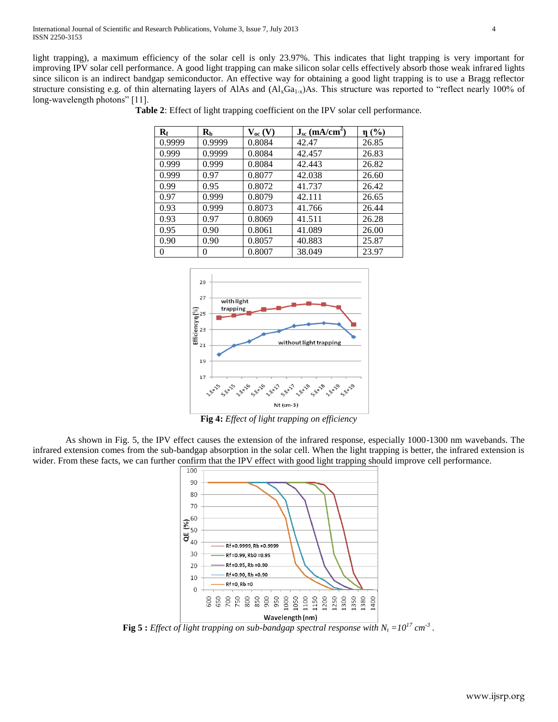light trapping), a maximum efficiency of the solar cell is only 23.97%. This indicates that light trapping is very important for improving IPV solar cell performance. A good light trapping can make silicon solar cells effectively absorb those weak infrared lights since silicon is an indirect bandgap semiconductor. An effective way for obtaining a good light trapping is to use a Bragg reflector structure consisting e.g. of thin alternating layers of AlAs and  $(Al_xGa_{1-x})As$ . This structure was reported to "reflect nearly 100% of long-wavelength photons" [11].

| $\mathbf{R}_{\mathbf{f}}$ | $\mathbf{R}_{\mathbf{b}}$ | $V_{oc}$ (V) | $J_{sc}$ (mA/cm <sup>2</sup> ) | $\eta$ (%) |
|---------------------------|---------------------------|--------------|--------------------------------|------------|
| 0.9999                    | 0.9999                    | 0.8084       | 42.47                          | 26.85      |
| 0.999                     | 0.9999                    | 0.8084       | 42.457                         | 26.83      |
| 0.999                     | 0.999                     | 0.8084       | 42.443                         | 26.82      |
| 0.999                     | 0.97                      | 0.8077       | 42.038                         | 26.60      |
| 0.99                      | 0.95                      | 0.8072       | 41.737                         | 26.42      |
| 0.97                      | 0.999                     | 0.8079       | 42.111                         | 26.65      |
| 0.93                      | 0.999                     | 0.8073       | 41.766                         | 26.44      |
| 0.93                      | 0.97                      | 0.8069       | 41.511                         | 26.28      |
| 0.95                      | 0.90                      | 0.8061       | 41.089                         | 26.00      |
| 0.90                      | 0.90                      | 0.8057       | 40.883                         | 25.87      |
| 0                         | 0                         | 0.8007       | 38.049                         | 23.97      |

**Table 2**: Effect of light trapping coefficient on the IPV solar cell performance.



**Fig 4:** *Effect of light trapping on efficiency*

As shown in Fig. 5, the IPV effect causes the extension of the infrared response, especially 1000-1300 nm wavebands. The infrared extension comes from the sub-bandgap absorption in the solar cell. When the light trapping is better, the infrared extension is wider. From these facts, we can further confirm that the IPV effect with good light trapping should improve cell performance.



**Fig 5 :** *Effect of light trapping on sub-bandgap spectral response with*  $N_t = 10^{17}$  *cm<sup>-3</sup>.*